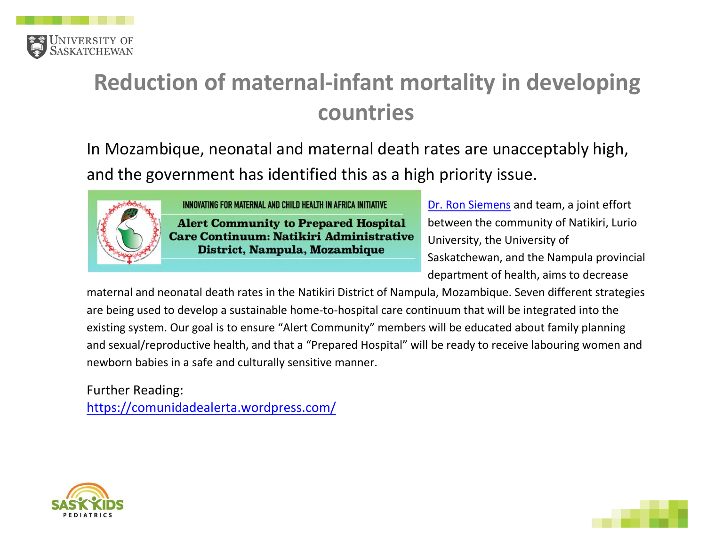

## **Reduction of maternal-infant mortality in developing countries**

In Mozambique, neonatal and maternal death rates are unacceptably high, and the government has identified this as a high priority issue.



INNOVATING FOR MATERNAL AND CHILD HEALTH IN AFRICA INITIATIVE

**Alert Community to Prepared Hospital Care Continuum: Natikiri Administrative** District, Nampula, Mozambique

[Dr. Ron Siemens](https://medicine.usask.ca/profiles/pediatric-divisions/emergency-medicine/ron-siemens.php#ResearchAreas) and team, a joint effort between the community of Natikiri, Lurio University, the University of Saskatchewan, and the Nampula provincial department of health, aims to decrease

maternal and neonatal death rates in the Natikiri District of Nampula, Mozambique. Seven different strategies are being used to develop a sustainable home-to-hospital care continuum that will be integrated into the existing system. Our goal is to ensure "Alert Community" members will be educated about family planning and sexual/reproductive health, and that a "Prepared Hospital" will be ready to receive labouring women and newborn babies in a safe and culturally sensitive manner.

Further Reading:

<https://comunidadealerta.wordpress.com/>